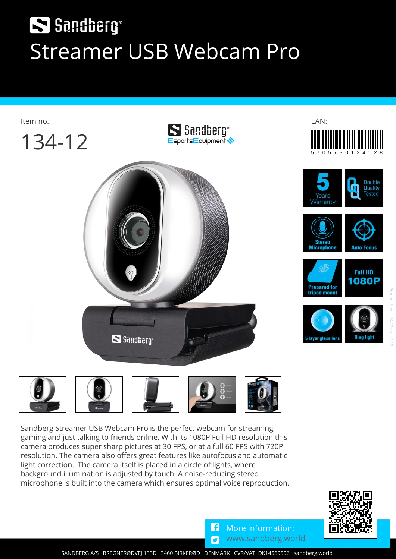## S Sandberg® **Streamer USB Webcam Pro**





**Sandberg Streamer USB Webcam Pro is the perfect webcam for streaming, gaming and just talking to friends online. With its 1080P Full HD resolution this camera produces super sharp pictures at 30 FPS, or at a full 60 FPS with 720P resolution. The camera also offers great features like autofocus and automatic light correction. The camera itself is placed in a circle of lights, where background illumination is adjusted by touch. A noise-reducing stereo microphone is built into the camera which ensures optimal voice reproduction.**



G  $\overline{\mathbf{z}}$ **More information: [www.sandberg.world](https://sandberg.world)**